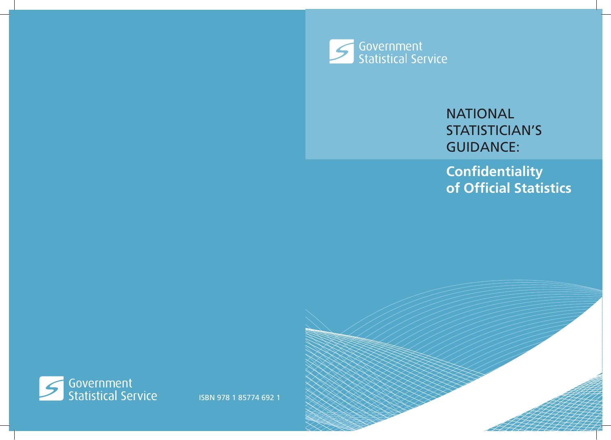

# **NATIONAL** STATISTICIAN'S **GUIDANCE:**

**Confidentiality of Official Statistics**

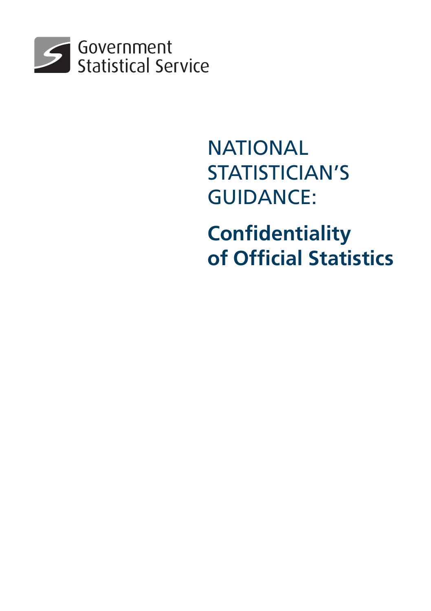

# **NATIONAL** STATISTICIAN'S **GUIDANCE:**

**Confidentiality of Official Statistics**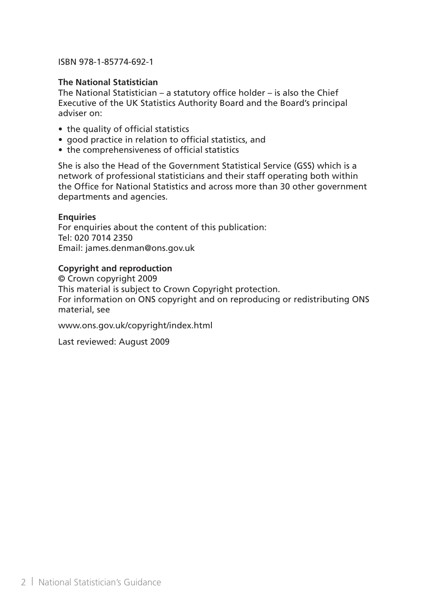#### ISBN 978-1-85774-692-1

### **The National Statistician**

The National Statistician – a statutory office holder – is also the Chief Executive of the UK Statistics Authority Board and the Board's principal adviser on:

- the quality of official statistics
- good practice in relation to official statistics, and
- the comprehensiveness of official statistics

She is also the Head of the Government Statistical Service (GSS) which is a network of professional statisticians and their staff operating both within the Office for National Statistics and across more than 30 other government departments and agencies.

#### **Enquiries**

For enquiries about the content of this publication: Tel: 020 7014 2350 Email: james.denman@ons.gov.uk

#### **Copyright and reproduction**

© Crown copyright 2009 This material is subject to Crown Copyright protection. For information on ONS copyright and on reproducing or redistributing ONS material, see

www.ons.gov.uk/copyright/index.html

Last reviewed: August 2009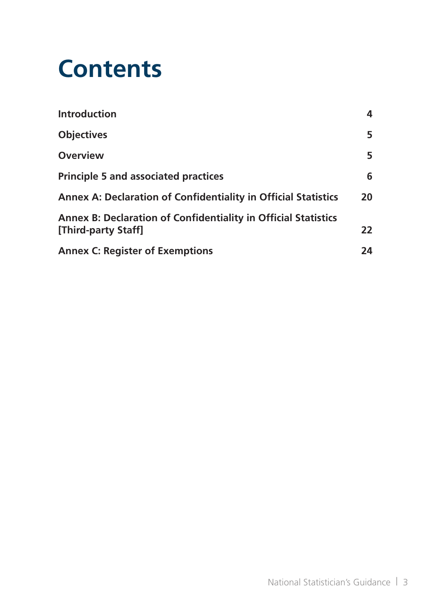# **Contents**

| <b>Introduction</b>                                                                   | 4  |
|---------------------------------------------------------------------------------------|----|
| <b>Objectives</b>                                                                     | 5. |
| <b>Overview</b>                                                                       | 5. |
| <b>Principle 5 and associated practices</b>                                           | 6  |
| Annex A: Declaration of Confidentiality in Official Statistics                        | 20 |
| Annex B: Declaration of Confidentiality in Official Statistics<br>[Third-party Staff] | 22 |
| <b>Annex C: Register of Exemptions</b>                                                | 24 |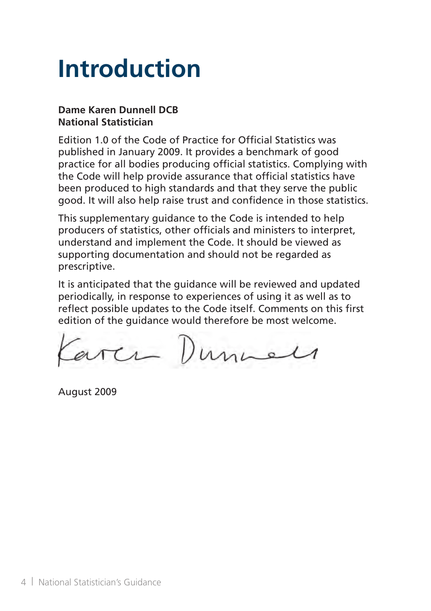# **Introduction**

### **Dame Karen Dunnell DCB National Statistician**

Edition 1.0 of the Code of Practice for Official Statistics was published in January 2009. It provides a benchmark of good practice for all bodies producing official statistics. Complying with the Code will help provide assurance that official statistics have been produced to high standards and that they serve the public good. It will also help raise trust and confidence in those statistics.

This supplementary guidance to the Code is intended to help producers of statistics, other officials and ministers to interpret, understand and implement the Code. It should be viewed as supporting documentation and should not be regarded as prescriptive.

It is anticipated that the guidance will be reviewed and updated periodically, in response to experiences of using it as well as to reflect possible updates to the Code itself. Comments on this first edition of the guidance would therefore be most welcome.

arca Dunnels

August 2009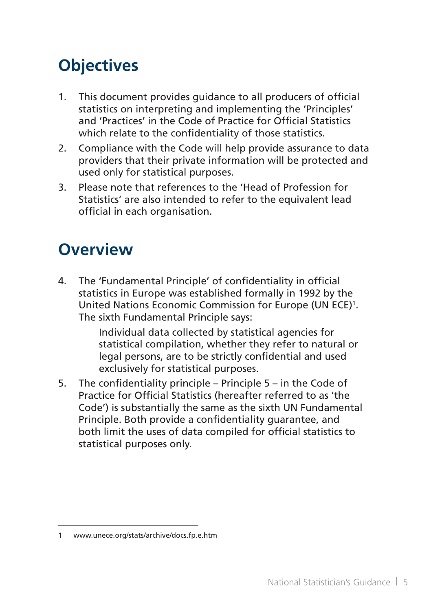# **Objectives**

- 1. This document provides quidance to all producers of official statistics on interpreting and implementing the 'Principles' and 'Practices' in the Code of Practice for Official Statistics which relate to the confidentiality of those statistics.
- 2. Compliance with the Code will help provide assurance to data providers that their private information will be protected and used only for statistical purposes.
- 3. Please note that references to the 'Head of Profession for Statistics' are also intended to refer to the equivalent lead official in each organisation.

## **Overview**

4. The 'Fundamental Principle' of confidentiality in official statistics in Europe was established formally in 1992 by the United Nations Economic Commission for Europe (UN ECE)<sup>1</sup>. The sixth Fundamental Principle says:

> Individual data collected by statistical agencies for statistical compilation, whether they refer to natural or legal persons, are to be strictly confidential and used exclusively for statistical purposes.

5. The confidentiality principle – Principle  $5 - in$  the Code of Practice for Official Statistics (hereafter referred to as 'the Code') is substantially the same as the sixth UN Fundamental Principle. Both provide a confidentiality guarantee, and both limit the uses of data compiled for official statistics to statistical purposes only.

<sup>1</sup> www.unece.org/stats/archive/docs.fp.e.htm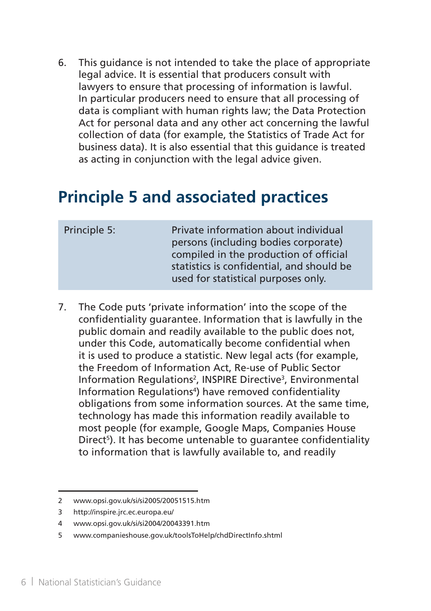6. This guidance is not intended to take the place of appropriate legal advice. It is essential that producers consult with lawyers to ensure that processing of information is lawful. In particular producers need to ensure that all processing of data is compliant with human rights law; the Data Protection Act for personal data and any other act concerning the lawful collection of data (for example, the Statistics of Trade Act for business data). It is also essential that this guidance is treated as acting in conjunction with the legal advice given.

### **Principle 5 and associated practices**

| Principle 5: | Private information about individual<br>persons (including bodies corporate)<br>compiled in the production of official<br>statistics is confidential, and should be<br>used for statistical purposes only. |
|--------------|------------------------------------------------------------------------------------------------------------------------------------------------------------------------------------------------------------|
|              |                                                                                                                                                                                                            |

7. The Code puts 'private information' into the scope of the confidentiality guarantee. Information that is lawfully in the public domain and readily available to the public does not, under this Code, automatically become confidential when it is used to produce a statistic. New legal acts (for example, the Freedom of Information Act, Re-use of Public Sector Information Regulations<sup>2</sup>, INSPIRE Directive<sup>3</sup>, Environmental Information Regulations<sup>4</sup>) have removed confidentiality obligations from some information sources. At the same time, technology has made this information readily available to most people (for example, Google Maps, Companies House Direct<sup>5</sup>). It has become untenable to guarantee confidentiality to information that is lawfully available to, and readily

<sup>2</sup> www.opsi.gov.uk/si/si2005/20051515.htm

<sup>3</sup> http://inspire.jrc.ec.europa.eu/

<sup>4</sup> www.opsi.gov.uk/si/si2004/20043391.htm

<sup>5</sup> www.companieshouse.gov.uk/toolsToHelp/chdDirectInfo.shtml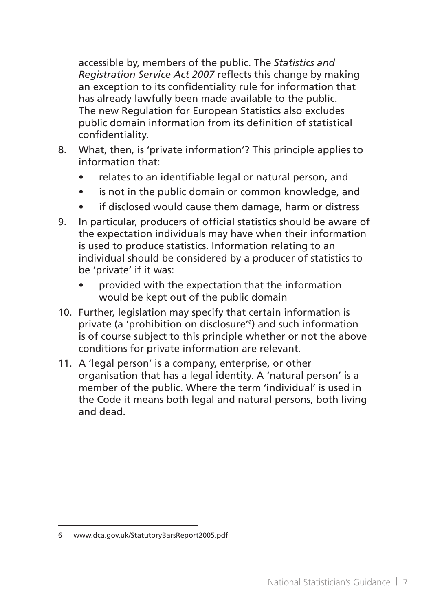accessible by, members of the public. The *Statistics and Registration Service Act 2007* reflects this change by making an exception to its confidentiality rule for information that has already lawfully been made available to the public. The new Regulation for European Statistics also excludes public domain information from its definition of statistical confidentiality.

- 8. What, then, is 'private information'? This principle applies to information that:
	- relates to an identifiable legal or natural person, and
	- is not in the public domain or common knowledge, and
	- if disclosed would cause them damage, harm or distress
- 9. In particular, producers of official statistics should be aware of the expectation individuals may have when their information is used to produce statistics. Information relating to an individual should be considered by a producer of statistics to be 'private' if it was:
	- provided with the expectation that the information would be kept out of the public domain
- 10. Further, legislation may specify that certain information is private (a 'prohibition on disclosure'<sup>6</sup> ) and such information is of course subject to this principle whether or not the above conditions for private information are relevant.
- 11. A 'legal person' is a company, enterprise, or other organisation that has a legal identity. A 'natural person' is a member of the public. Where the term 'individual' is used in the Code it means both legal and natural persons, both living and dead.

<sup>6</sup> www.dca.gov.uk/StatutoryBarsReport2005.pdf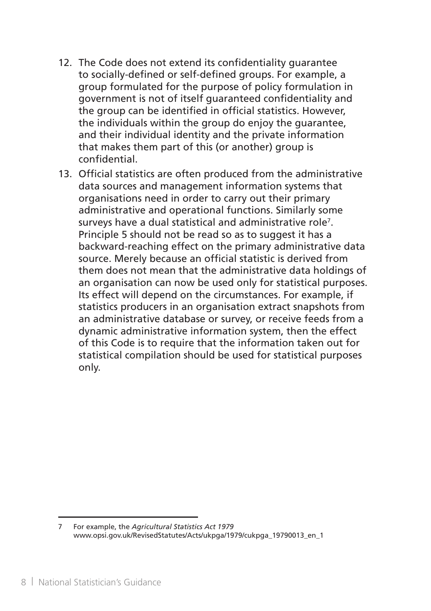- 12. The Code does not extend its confidentiality quarantee to socially-defined or self-defined groups. For example, a group formulated for the purpose of policy formulation in government is not of itself guaranteed confidentiality and the group can be identified in official statistics. However, the individuals within the group do enjoy the guarantee, and their individual identity and the private information that makes them part of this (or another) group is confidential.
- 13. Official statistics are often produced from the administrative data sources and management information systems that organisations need in order to carry out their primary administrative and operational functions. Similarly some surveys have a dual statistical and administrative role<sup>7</sup>. Principle 5 should not be read so as to suggest it has a backward-reaching effect on the primary administrative data source. Merely because an official statistic is derived from them does not mean that the administrative data holdings of an organisation can now be used only for statistical purposes. Its effect will depend on the circumstances. For example, if statistics producers in an organisation extract snapshots from an administrative database or survey, or receive feeds from a dynamic administrative information system, then the effect of this Code is to require that the information taken out for statistical compilation should be used for statistical purposes only.

<sup>7</sup> For example, the *Agricultural Statistics Act 1979* www.opsi.gov.uk/RevisedStatutes/Acts/ukpga/1979/cukpga\_19790013\_en\_1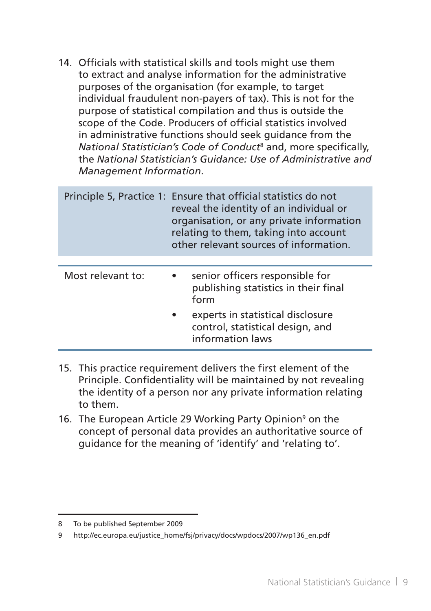14. Officials with statistical skills and tools might use them to extract and analyse information for the administrative purposes of the organisation (for example, to target individual fraudulent non-payers of tax). This is not for the purpose of statistical compilation and thus is outside the scope of the Code. Producers of official statistics involved in administrative functions should seek guidance from the *National Statistician's Code of Conduct*<sup>8</sup> and, more specifically, the *National Statistician's Guidance: Use of Administrative and Management Information*.

|                   | Principle 5, Practice 1: Ensure that official statistics do not<br>reveal the identity of an individual or<br>organisation, or any private information<br>relating to them, taking into account<br>other relevant sources of information. |
|-------------------|-------------------------------------------------------------------------------------------------------------------------------------------------------------------------------------------------------------------------------------------|
| Most relevant to: | senior officers responsible for<br>publishing statistics in their final<br>form<br>experts in statistical disclosure<br>control, statistical design, and<br>information laws                                                              |

- 15. This practice requirement delivers the first element of the Principle. Confidentiality will be maintained by not revealing the identity of a person nor any private information relating to them.
- 16. The European Article 29 Working Party Opinion<sup>9</sup> on the concept of personal data provides an authoritative source of guidance for the meaning of 'identify' and 'relating to'.

<sup>8</sup> To be published September 2009

<sup>9</sup> http://ec.europa.eu/justice\_home/fsj/privacy/docs/wpdocs/2007/wp136\_en.pdf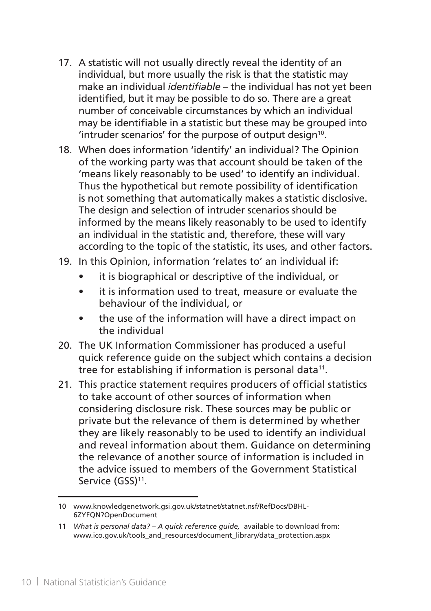- 17. A statistic will not usually directly reveal the identity of an individual, but more usually the risk is that the statistic may make an individual *identifiable* – the individual has not yet been identified, but it may be possible to do so. There are a great number of conceivable circumstances by which an individual may be identifiable in a statistic but these may be grouped into 'intruder scenarios' for the purpose of output design<sup>10</sup>.
- 18. When does information 'identify' an individual? The Opinion of the working party was that account should be taken of the 'means likely reasonably to be used' to identify an individual. Thus the hypothetical but remote possibility of identification is not something that automatically makes a statistic disclosive. The design and selection of intruder scenarios should be informed by the means likely reasonably to be used to identify an individual in the statistic and, therefore, these will vary according to the topic of the statistic, its uses, and other factors.
- 19. In this Opinion, information 'relates to' an individual if:
	- • it is biographical or descriptive of the individual, or
	- it is information used to treat, measure or evaluate the behaviour of the individual, or
	- the use of the information will have a direct impact on the individual
- 20. The UK Information Commissioner has produced a useful quick reference guide on the subject which contains a decision tree for establishing if information is personal data<sup>11</sup>.
- 21. This practice statement requires producers of official statistics to take account of other sources of information when considering disclosure risk. These sources may be public or private but the relevance of them is determined by whether they are likely reasonably to be used to identify an individual and reveal information about them. Guidance on determining the relevance of another source of information is included in the advice issued to members of the Government Statistical Service (GSS)<sup>11</sup>.

<sup>10</sup> www.knowledgenetwork.gsi.gov.uk/statnet/statnet.nsf/RefDocs/DBHL-6ZYFQN?OpenDocument

<sup>11</sup> *What is personal data? – A quick reference guide,* available to download from: www.ico.gov.uk/tools\_and\_resources/document\_library/data\_protection.aspx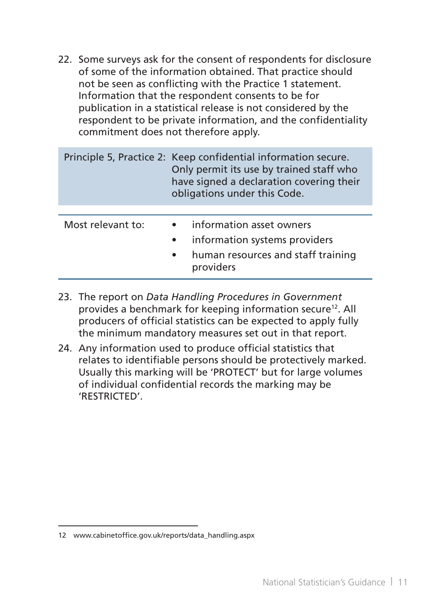22. Some surveys ask for the consent of respondents for disclosure of some of the information obtained. That practice should not be seen as conflicting with the Practice 1 statement. Information that the respondent consents to be for publication in a statistical release is not considered by the respondent to be private information, and the confidentiality commitment does not therefore apply.

|                   | Principle 5, Practice 2: Keep confidential information secure.<br>Only permit its use by trained staff who<br>have signed a declaration covering their<br>obligations under this Code. |  |
|-------------------|----------------------------------------------------------------------------------------------------------------------------------------------------------------------------------------|--|
|                   |                                                                                                                                                                                        |  |
| Most relevant to: | information asset owners<br>$\bullet$<br>information systems providers<br>$\bullet$<br>human resources and staff training<br>$\bullet$<br>providers                                    |  |

- 23. The report on *Data Handling Procedures in Government* provides a benchmark for keeping information secure12. All producers of official statistics can be expected to apply fully the minimum mandatory measures set out in that report.
- 24. Any information used to produce official statistics that relates to identifiable persons should be protectively marked. Usually this marking will be 'PROTECT' but for large volumes of individual confidential records the marking may be 'RESTRICTED'.

<sup>12</sup> www.cabinetoffice.gov.uk/reports/data\_handling.aspx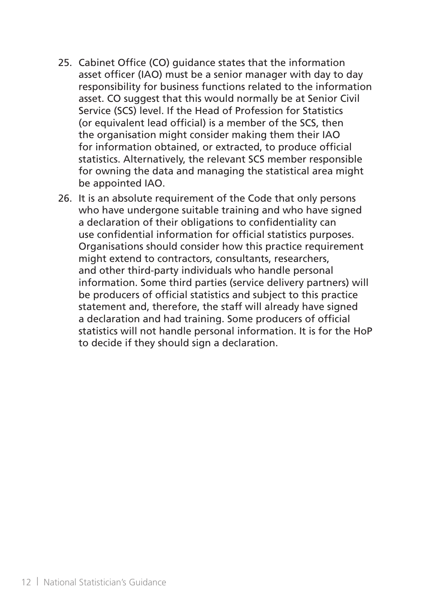- 25. Cabinet Office (CO) quidance states that the information asset officer (IAO) must be a senior manager with day to day responsibility for business functions related to the information asset. CO suggest that this would normally be at Senior Civil Service (SCS) level. If the Head of Profession for Statistics (or equivalent lead official) is a member of the SCS, then the organisation might consider making them their IAO for information obtained, or extracted, to produce official statistics. Alternatively, the relevant SCS member responsible for owning the data and managing the statistical area might be appointed IAO.
- 26. It is an absolute requirement of the Code that only persons who have undergone suitable training and who have signed a declaration of their obligations to confidentiality can use confidential information for official statistics purposes. Organisations should consider how this practice requirement might extend to contractors, consultants, researchers, and other third-party individuals who handle personal information. Some third parties (service delivery partners) will be producers of official statistics and subject to this practice statement and, therefore, the staff will already have signed a declaration and had training. Some producers of official statistics will not handle personal information. It is for the HoP to decide if they should sign a declaration.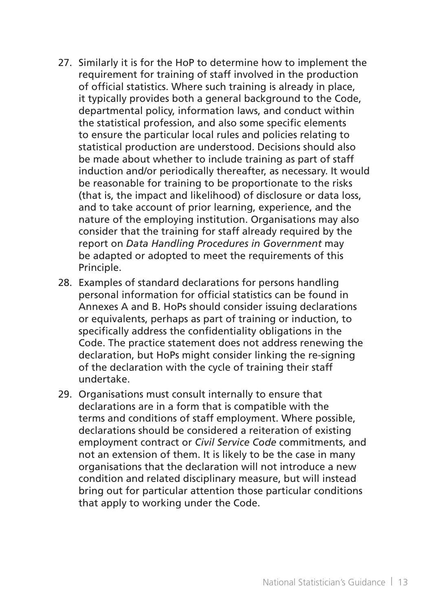- 27. Similarly it is for the HoP to determine how to implement the requirement for training of staff involved in the production of official statistics. Where such training is already in place, it typically provides both a general background to the Code, departmental policy, information laws, and conduct within the statistical profession, and also some specific elements to ensure the particular local rules and policies relating to statistical production are understood. Decisions should also be made about whether to include training as part of staff induction and/or periodically thereafter, as necessary. It would be reasonable for training to be proportionate to the risks (that is, the impact and likelihood) of disclosure or data loss, and to take account of prior learning, experience, and the nature of the employing institution. Organisations may also consider that the training for staff already required by the report on *Data Handling Procedures in Government* may be adapted or adopted to meet the requirements of this Principle.
- 28. Examples of standard declarations for persons handling personal information for official statistics can be found in Annexes A and B. HoPs should consider issuing declarations or equivalents, perhaps as part of training or induction, to specifically address the confidentiality obligations in the Code. The practice statement does not address renewing the declaration, but HoPs might consider linking the re-signing of the declaration with the cycle of training their staff undertake.
- 29. Organisations must consult internally to ensure that declarations are in a form that is compatible with the terms and conditions of staff employment. Where possible, declarations should be considered a reiteration of existing employment contract or *Civil Service Code* commitments, and not an extension of them. It is likely to be the case in many organisations that the declaration will not introduce a new condition and related disciplinary measure, but will instead bring out for particular attention those particular conditions that apply to working under the Code.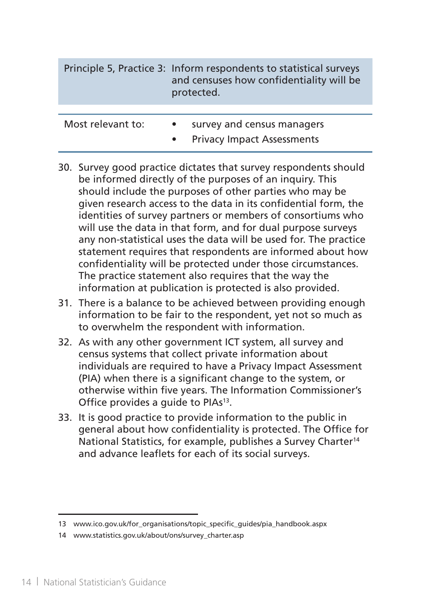| Principle 5, Practice 3: Inform respondents to statistical surveys<br>and censuses how confidentiality will be<br>protected. |
|------------------------------------------------------------------------------------------------------------------------------|
|                                                                                                                              |

| Most relevant to: |  |  |  |  | survey and census managers |
|-------------------|--|--|--|--|----------------------------|
|-------------------|--|--|--|--|----------------------------|

- Privacy Impact Assessments
- 30. Survey good practice dictates that survey respondents should be informed directly of the purposes of an inquiry. This should include the purposes of other parties who may be given research access to the data in its confidential form, the identities of survey partners or members of consortiums who will use the data in that form, and for dual purpose surveys any non-statistical uses the data will be used for. The practice statement requires that respondents are informed about how confidentiality will be protected under those circumstances. The practice statement also requires that the way the information at publication is protected is also provided.
- 31. There is a balance to be achieved between providing enough information to be fair to the respondent, yet not so much as to overwhelm the respondent with information.
- 32. As with any other government ICT system, all survey and census systems that collect private information about individuals are required to have a Privacy Impact Assessment (PIA) when there is a significant change to the system, or otherwise within five years. The Information Commissioner's Office provides a quide to PIAs<sup>13</sup>.
- 33. It is good practice to provide information to the public in general about how confidentiality is protected. The Office for National Statistics, for example, publishes a Survey Charter<sup>14</sup> and advance leaflets for each of its social surveys.

<sup>13</sup> www.ico.gov.uk/for organisations/topic specific quides/pia handbook.aspx

<sup>14</sup> www.statistics.gov.uk/about/ons/survey\_charter.asp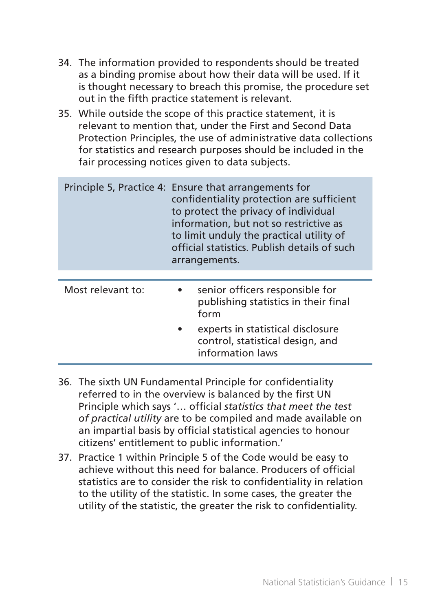- 34. The information provided to respondents should be treated as a binding promise about how their data will be used. If it is thought necessary to breach this promise, the procedure set out in the fifth practice statement is relevant.
- 35. While outside the scope of this practice statement, it is relevant to mention that, under the First and Second Data Protection Principles, the use of administrative data collections for statistics and research purposes should be included in the fair processing notices given to data subjects.

|                   | Principle 5, Practice 4: Ensure that arrangements for<br>confidentiality protection are sufficient<br>to protect the privacy of individual<br>information, but not so restrictive as<br>to limit unduly the practical utility of<br>official statistics. Publish details of such<br>arrangements. |
|-------------------|---------------------------------------------------------------------------------------------------------------------------------------------------------------------------------------------------------------------------------------------------------------------------------------------------|
| Most relevant to: | senior officers responsible for<br>$\bullet$<br>publishing statistics in their final<br>form                                                                                                                                                                                                      |
|                   | experts in statistical disclosure<br>control, statistical design, and<br>information laws                                                                                                                                                                                                         |

- 36. The sixth UN Fundamental Principle for confidentiality referred to in the overview is balanced by the first UN Principle which says '… official *statistics that meet the test of practical utility* are to be compiled and made available on an impartial basis by official statistical agencies to honour citizens' entitlement to public information.'
- 37. Practice 1 within Principle 5 of the Code would be easy to achieve without this need for balance. Producers of official statistics are to consider the risk to confidentiality in relation to the utility of the statistic. In some cases, the greater the utility of the statistic, the greater the risk to confidentiality.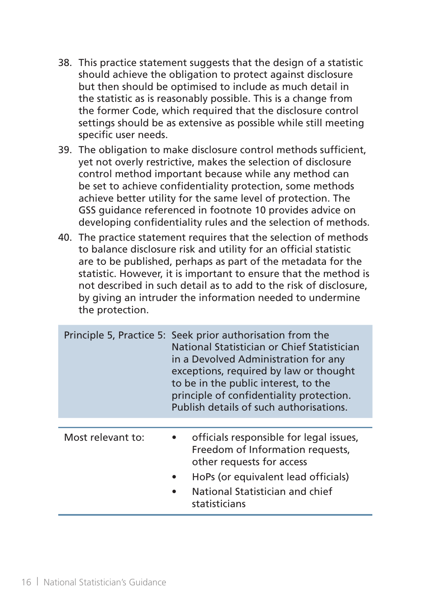- 38. This practice statement suggests that the design of a statistic should achieve the obligation to protect against disclosure but then should be optimised to include as much detail in the statistic as is reasonably possible. This is a change from the former Code, which required that the disclosure control settings should be as extensive as possible while still meeting specific user needs.
- 39. The obligation to make disclosure control methods sufficient, yet not overly restrictive, makes the selection of disclosure control method important because while any method can be set to achieve confidentiality protection, some methods achieve better utility for the same level of protection. The GSS guidance referenced in footnote 10 provides advice on developing confidentiality rules and the selection of methods.
- 40. The practice statement requires that the selection of methods to balance disclosure risk and utility for an official statistic are to be published, perhaps as part of the metadata for the statistic. However, it is important to ensure that the method is not described in such detail as to add to the risk of disclosure, by giving an intruder the information needed to undermine the protection.

|                   | Principle 5, Practice 5: Seek prior authorisation from the<br>National Statistician or Chief Statistician<br>in a Devolved Administration for any<br>exceptions, required by law or thought<br>to be in the public interest, to the<br>principle of confidentiality protection.<br>Publish details of such authorisations. |  |
|-------------------|----------------------------------------------------------------------------------------------------------------------------------------------------------------------------------------------------------------------------------------------------------------------------------------------------------------------------|--|
| Most relevant to: | officials responsible for legal issues,<br>Freedom of Information requests,<br>other requests for access<br>HoPs (or equivalent lead officials)<br>National Statistician and chief<br>statisticians                                                                                                                        |  |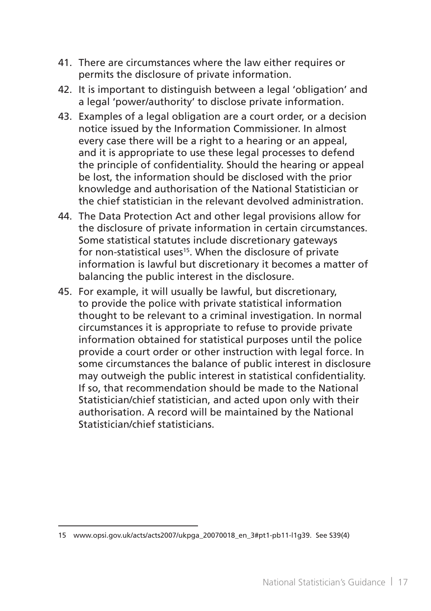- 41. There are circumstances where the law either requires or permits the disclosure of private information.
- 42. It is important to distinguish between a legal 'obligation' and a legal 'power/authority' to disclose private information.
- 43. Examples of a legal obligation are a court order, or a decision notice issued by the Information Commissioner. In almost every case there will be a right to a hearing or an appeal, and it is appropriate to use these legal processes to defend the principle of confidentiality. Should the hearing or appeal be lost, the information should be disclosed with the prior knowledge and authorisation of the National Statistician or the chief statistician in the relevant devolved administration.
- 44. The Data Protection Act and other legal provisions allow for the disclosure of private information in certain circumstances. Some statistical statutes include discretionary gateways for non-statistical uses<sup>15</sup>. When the disclosure of private information is lawful but discretionary it becomes a matter of balancing the public interest in the disclosure.
- 45. For example, it will usually be lawful, but discretionary, to provide the police with private statistical information thought to be relevant to a criminal investigation. In normal circumstances it is appropriate to refuse to provide private information obtained for statistical purposes until the police provide a court order or other instruction with legal force. In some circumstances the balance of public interest in disclosure may outweigh the public interest in statistical confidentiality. If so, that recommendation should be made to the National Statistician/chief statistician, and acted upon only with their authorisation. A record will be maintained by the National Statistician/chief statisticians.

<sup>15</sup> www.opsi.gov.uk/acts/acts2007/ukpga\_20070018\_en\_3#pt1-pb11-l1g39. See S39(4)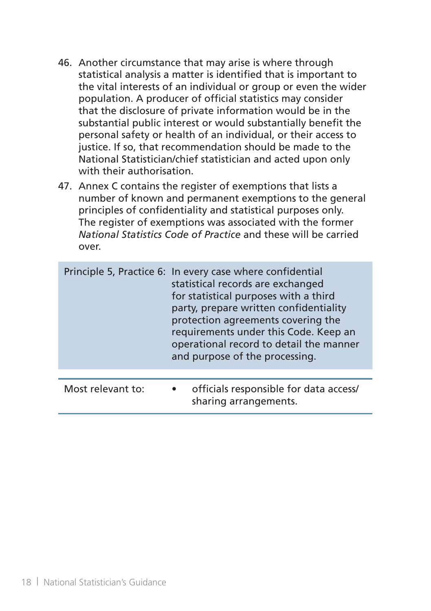- 46. Another circumstance that may arise is where through statistical analysis a matter is identified that is important to the vital interests of an individual or group or even the wider population. A producer of official statistics may consider that the disclosure of private information would be in the substantial public interest or would substantially benefit the personal safety or health of an individual, or their access to justice. If so, that recommendation should be made to the National Statistician/chief statistician and acted upon only with their authorisation.
- 47. Annex C contains the register of exemptions that lists a number of known and permanent exemptions to the general principles of confidentiality and statistical purposes only. The register of exemptions was associated with the former *National Statistics Code of Practice* and these will be carried over.

|                   | Principle 5, Practice 6: In every case where confidential<br>statistical records are exchanged<br>for statistical purposes with a third<br>party, prepare written confidentiality<br>protection agreements covering the<br>requirements under this Code. Keep an<br>operational record to detail the manner<br>and purpose of the processing. |
|-------------------|-----------------------------------------------------------------------------------------------------------------------------------------------------------------------------------------------------------------------------------------------------------------------------------------------------------------------------------------------|
| Most relevant to: | officials responsible for data access/<br>sharing arrangements.                                                                                                                                                                                                                                                                               |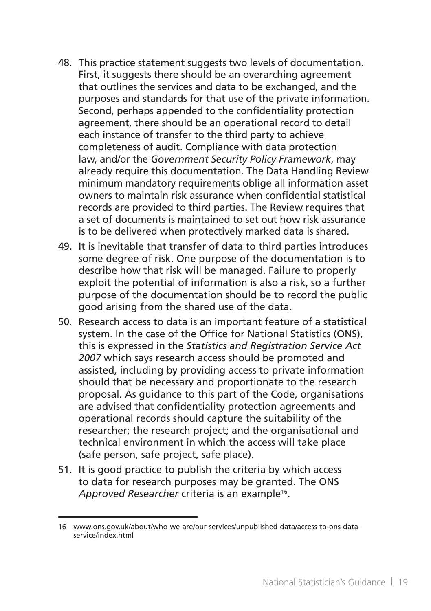- 48. This practice statement suggests two levels of documentation. First, it suggests there should be an overarching agreement that outlines the services and data to be exchanged, and the purposes and standards for that use of the private information. Second, perhaps appended to the confidentiality protection agreement, there should be an operational record to detail each instance of transfer to the third party to achieve completeness of audit. Compliance with data protection law, and/or the *Government Security Policy Framework*, may already require this documentation. The Data Handling Review minimum mandatory requirements oblige all information asset owners to maintain risk assurance when confidential statistical records are provided to third parties. The Review requires that a set of documents is maintained to set out how risk assurance is to be delivered when protectively marked data is shared.
- 49. It is inevitable that transfer of data to third parties introduces some degree of risk. One purpose of the documentation is to describe how that risk will be managed. Failure to properly exploit the potential of information is also a risk, so a further purpose of the documentation should be to record the public good arising from the shared use of the data.
- 50. Research access to data is an important feature of a statistical system. In the case of the Office for National Statistics (ONS), this is expressed in the *Statistics and Registration Service Act 2007* which says research access should be promoted and assisted, including by providing access to private information should that be necessary and proportionate to the research proposal. As guidance to this part of the Code, organisations are advised that confidentiality protection agreements and operational records should capture the suitability of the researcher; the research project; and the organisational and technical environment in which the access will take place (safe person, safe project, safe place).
- 51. It is good practice to publish the criteria by which access to data for research purposes may be granted. The ONS *Approved Researcher* criteria is an example16.

<sup>16</sup> www.ons.gov.uk/about/who-we-are/our-services/unpublished-data/access-to-ons-dataservice/index.html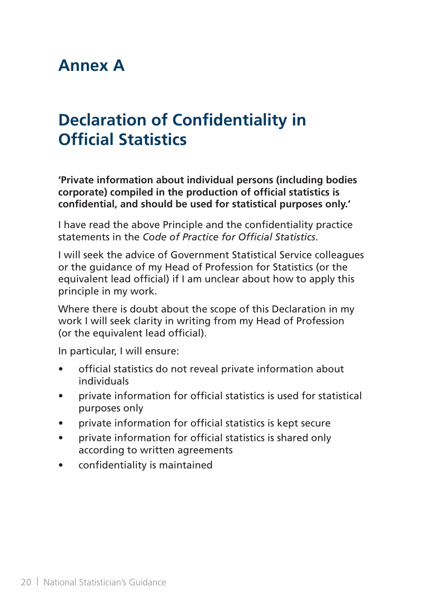### **Annex A**

# **Declaration of Confidentiality in Official Statistics**

**'Private information about individual persons (including bodies corporate) compiled in the production of official statistics is confidential, and should be used for statistical purposes only.'**

I have read the above Principle and the confidentiality practice statements in the *Code of Practice for Official Statistics*.

I will seek the advice of Government Statistical Service colleagues or the guidance of my Head of Profession for Statistics (or the equivalent lead official) if I am unclear about how to apply this principle in my work.

Where there is doubt about the scope of this Declaration in my work I will seek clarity in writing from my Head of Profession (or the equivalent lead official).

In particular, I will ensure:

- official statistics do not reveal private information about individuals
- • private information for official statistics is used for statistical purposes only
- private information for official statistics is kept secure
- private information for official statistics is shared only according to written agreements
- • confidentiality is maintained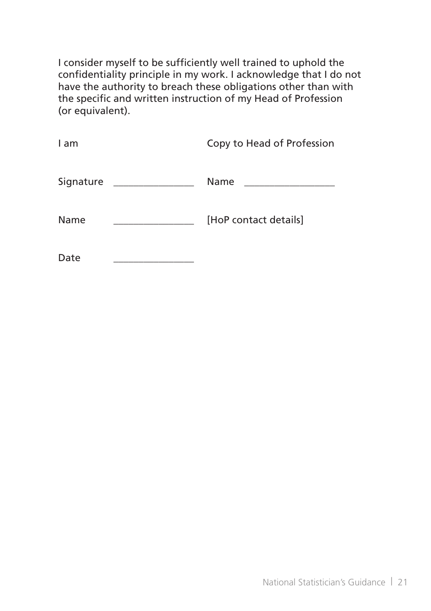I consider myself to be sufficiently well trained to uphold the confidentiality principle in my work. I acknowledge that I do not have the authority to breach these obligations other than with the specific and written instruction of my Head of Profession (or equivalent).

| l am                                                             | Copy to Head of Profession                    |
|------------------------------------------------------------------|-----------------------------------------------|
| Signature<br><u> 1980 - Antonio Alemania, prima prestava pre</u> | <b>Name</b><br><u> Alexandria de la conte</u> |
| Name                                                             | [HoP contact details]                         |
| Date                                                             |                                               |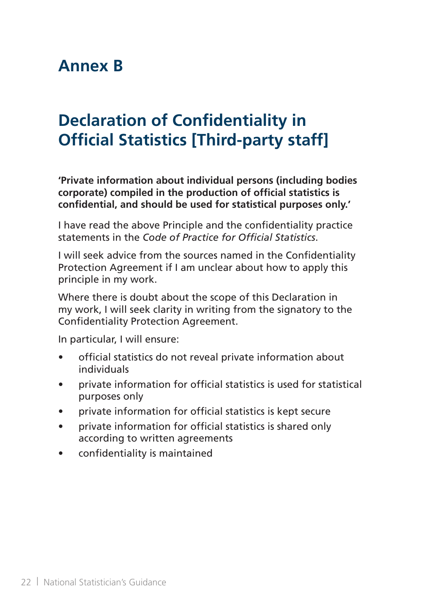## **Annex B**

# **Declaration of Confidentiality in Official Statistics [Third-party staff]**

**'Private information about individual persons (including bodies corporate) compiled in the production of official statistics is confidential, and should be used for statistical purposes only.'**

I have read the above Principle and the confidentiality practice statements in the *Code of Practice for Official Statistics*.

I will seek advice from the sources named in the Confidentiality Protection Agreement if I am unclear about how to apply this principle in my work.

Where there is doubt about the scope of this Declaration in my work, I will seek clarity in writing from the signatory to the Confidentiality Protection Agreement.

In particular, I will ensure:

- • official statistics do not reveal private information about individuals
- private information for official statistics is used for statistical purposes only
- • private information for official statistics is kept secure
- private information for official statistics is shared only according to written agreements
- • confidentiality is maintained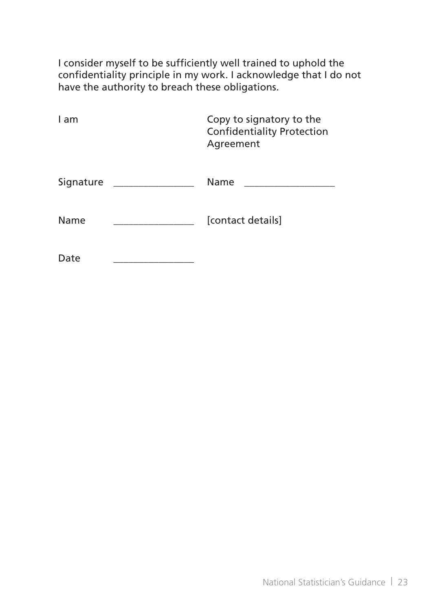I consider myself to be sufficiently well trained to uphold the confidentiality principle in my work. I acknowledge that I do not have the authority to breach these obligations.

| I am      | Copy to signatory to the<br><b>Confidentiality Protection</b><br>Agreement |
|-----------|----------------------------------------------------------------------------|
| Signature | Name                                                                       |
| Name      | [contact details]                                                          |
| Date      |                                                                            |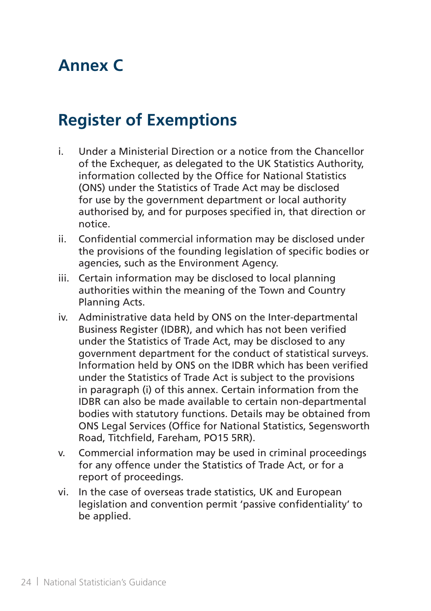# **Annex C**

## **Register of Exemptions**

- i. Under a Ministerial Direction or a notice from the Chancellor of the Exchequer, as delegated to the UK Statistics Authority, information collected by the Office for National Statistics (ONS) under the Statistics of Trade Act may be disclosed for use by the government department or local authority authorised by, and for purposes specified in, that direction or notice.
- ii. Confidential commercial information may be disclosed under the provisions of the founding legislation of specific bodies or agencies, such as the Environment Agency.
- iii. Certain information may be disclosed to local planning authorities within the meaning of the Town and Country Planning Acts.
- iv. Administrative data held by ONS on the Inter-departmental Business Register (IDBR), and which has not been verified under the Statistics of Trade Act, may be disclosed to any government department for the conduct of statistical surveys. Information held by ONS on the IDBR which has been verified under the Statistics of Trade Act is subject to the provisions in paragraph (i) of this annex. Certain information from the IDBR can also be made available to certain non-departmental bodies with statutory functions. Details may be obtained from ONS Legal Services (Office for National Statistics, Segensworth Road, Titchfield, Fareham, PO15 5RR).
- v. Commercial information may be used in criminal proceedings for any offence under the Statistics of Trade Act, or for a report of proceedings.
- vi. In the case of overseas trade statistics, UK and European legislation and convention permit 'passive confidentiality' to be applied.